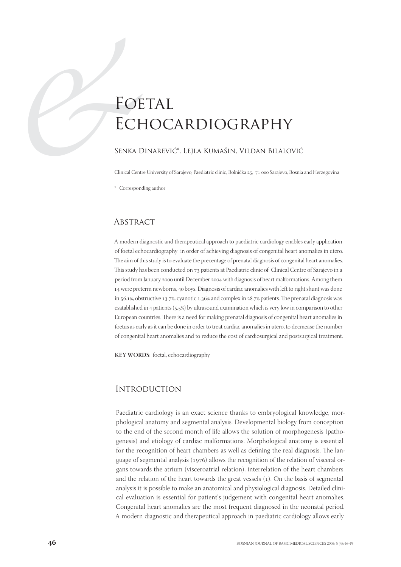# FOR<br>
ECH<br>
SENKA D<br>
Clinical Cent<br>
Correspon FOETAL **ECHOCARDIOGRAPHY**

#### Senka Dinarević\*, Lejla Kumašin, Vildan Bilalović

Clinical Centre University of Sarajevo, Paediatric clinic, Bolnička 25, 71 000 Sarajevo, Bosnia and Herzegovina

\* Corresponding author

#### **ABSTRACT**

A modern diagnostic and therapeutical approach to paediatric cardiology enables early application of foetal echocardiography in order of achieving diagnosis of congenital heart anomalies in utero. The aim of this study is to evaluate the precentage of prenatal diagnosis of congenital heart anomalies. This study has been conducted on 73 patients at Paediatric clinic of Clinical Centre of Sarajevo in a period from January 2000 until December 2004 with diagnosis of heart malformations. Among them 14 were preterm newborns, 40 boys. Diagnosis of cardiac anomalies with left to right shunt was done in 56.1%, obstructive 13.7%, cyanotic 1.36% and complex in 28.7% patients. The prenatal diagnosis was esatablished in 4 patients  $(5.5%)$  by ultrasound examination which is very low in comparison to other European countries. There is a need for making prenatal diagnosis of congenital heart anomalies in foetus as early as it can be done in order to treat cardiac anomalies in utero, to decraease the number of congenital heart anomalies and to reduce the cost of cardiosurgical and postsurgical treatment.

**KEY WORDS**: foetal, echocardiography

# **INTRODUCTION**

Paediatric cardiology is an exact science thanks to embryological knowledge, morphological anatomy and segmental analysis. Developmental biology from conception to the end of the second month of life allows the solution of morphogenesis (pathogenesis) and etiology of cardiac malformations. Morphological anatomy is essential for the recognition of heart chambers as well as defining the real diagnosis. The language of segmental analysis  $(1976)$  allows the recognition of the relation of visceral organs towards the atrium (visceroatrial relation), interrelation of the heart chambers and the relation of the heart towards the great vessels  $(1)$ . On the basis of segmental analysis it is possible to make an anatomical and physiological diagnosis. Detailed clinical evaluation is essential for patient's judgement with congenital heart anomalies. Congenital heart anomalies are the most frequent diagnosed in the neonatal period. A modern diagnostic and therapeutical approach in paediatric cardiology allows early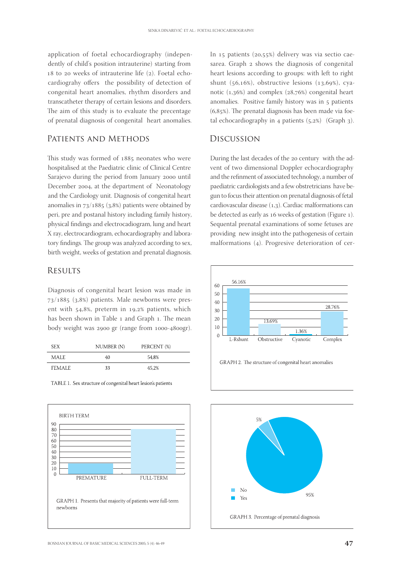application of foetal echocardiography (independently of child's position intrauterine) starting from  $18$  to  $20$  weeks of intrauterine life ( $2$ ). Foetal echocardiograhy offers the possibility of detection of congenital heart anomalies, rhythm disorders and transcatheter therapy of certain lesions and disorders. The aim of this study is to evaluate the precentage of prenatal diagnosis of congenital heart anomalies.

### PATIENTS AND METHODS

This study was formed of 1885 neonates who were hospitalised at the Paediatric clinic of Clinical Centre Sarajevo during the period from January 2000 until December 2004, at the department of Neonatology and the Cardiology unit. Diagnosis of congenital heart anomalies in  $73/1885$  (3,8%) patients were obtained by peri, pre and postanal history including family history, physical findings and electrocadiogram, lung and heart X ray, electrocardiogram, echocardiography and laboratory findings. The group was analyzed according to sex, birth weight, weeks of gestation and prenatal diagnosis.

### **RESULTS**

Diagnosis of congenital heart lesion was made in  $73/1885$  (3,8%) patients. Male newborns were present with  $54,8\%$ , preterm in 19,2% patients, which has been shown in Table 1 and Graph 1. The mean body weight was 2900 gr (range from 1000-4800gr).

| SEX.    | NUMBER (N) | PERCENT (%) |  |
|---------|------------|-------------|--|
| MALE.   | 40         | 54.8%       |  |
| FEMALE. | 33         | 45.2%       |  |

TABLE 1. Sex structure of congenital heart lesion's patients



In  $15$  patients ( $20.55\%$ ) delivery was via sectio caesarea. Graph 2 shows the diagnosis of congenital heart lesions according to groups: with left to right shunt  $(56,16\%)$ , obstructive lesions  $(13,69\%)$ , cyanotic  $(1,36%)$  and complex  $(28,76%)$  congenital heart anomalies. Positive family history was in 5 patients  $(6,85%)$ . The prenatal diagnosis has been made via foetal echocardiography in 4 patients  $(5,2%)$  (Graph 3).

## Discussion

During the last decades of the 20 century with the advent of two dimensional Doppler echocardiography and the refinment of associated technology, a number of paediatric cardiologists and a few obstretricians have begun to focus their attention on prenatal diagnosis of fetal cardiovascular disease  $(1,3)$ . Cardiac malformations can be detected as early as 16 weeks of gestation (Figure 1). Sequental prenatal examinations of some fetuses are providing new insight into the pathogenesis of certain malformations  $(4)$ . Progresive deterioration of cer-



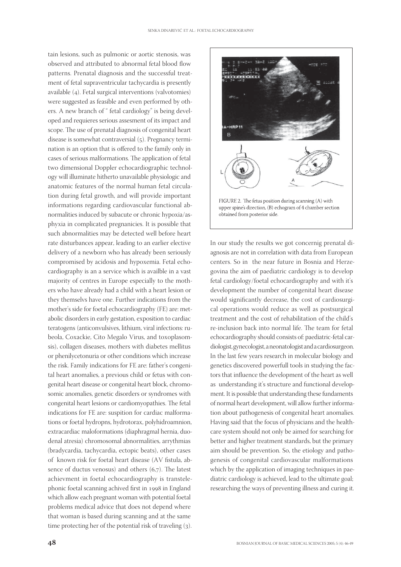tain lesions, such as pulmonic or aortic stenosis, was observed and attributed to abnormal fetal blood flow patterns. Prenatal diagnosis and the successful treatment of fetal supraventricular tachycardia is presently available (4). Fetal surgical interventions (valvotomies) were suggested as feasible and even performed by others. A new branch of " fetal cardiology" is being developed and requieres serious assesment of its impact and scope. The use of prenatal diagnosis of congenital heart disease is somewhat contraversial  $(5)$ . Pregnancy termination is an option that is offered to the family only in cases of serious malformations. The application of fetal two dimensional Doppler echocardiographic technology will illuminate hitherto unavailable physiologic and anatomic features of the normal human fetal circulation during fetal growth, and will provide important informations regarding cardiovascular functional abnormalities induced by subacute or chronic hypoxia/asphyxia in complicated pregnanicies. It is possible that such abnormalities may be detected well before heart rate disturbances appear, leading to an earlier elective delivery of a newborn who has already been seriously compromised by acidosis and hypoxemia. Fetal echocardiography is an a service which is availble in a vast majority of centres in Europe especially to the mothers who have already had a child with a heart lesion or they themselvs have one. Further indications from the mother's side for foetal echocardiography (FE) are: metabolic disorders in early gestation, exposition to cardiac teratogens (anticonvulsives, lithium, viral infections: rubeola, Coxackie, Cito Megalo Virus, and toxoplasomsis), collagen diseases, mothers with diabetes mellitus or phenilycetonuria or other conditions which increase the risk. Family indications for FE are: father's congenital heart anomalies, a previous child or fetus with congenital heart disease or congenital heart block, chromosomic anomalies, genetic disorders or syndromes with congenital heart lesions or cardiomyopathies. The fetal indications for FE are: suspition for cardiac malformations or foetal hydropns, hydrotorax, polyhidroamnion, extracardiac maloformations (diaphragmal hernia, duodenal atresia) chromosomal abnormalities, arrythmias (bradycardia, tachycardia, ectopic beats), other cases of known risk for foetal heart disease (AV fistula, absence of ductus venosus) and others  $(6,7)$ . The latest achievment in foetal echocardiography is transtelephonic foetal scanning achived first in 1998 in England which allow each pregnant woman with potential foetal problems medical advice that does not depend where that woman is based during scanning and at the same time protecting her of the potential risk of traveling (3).



In our study the results we got concernig prenatal diagnosis are not in correlation with data from European centers. So in the near future in Bosnia and Herzegovina the aim of paediatric cardiology is to develop fetal cardiology/foetal echocardiography and with it's development the number of congenital heart disease would significantly decrease, the cost of cardiosurgical operations would reduce as well as postsurgical treatment and the cost of rehabilitation of the child's re-inclusion back into normal life. The team for fetal echocardiography should consists of: paediatric-fetal cardiologist, gynecologist, a neonatologist and a cardiosurgeon. In the last few years research in molecular biology and genetics discovered powerfull tools in studying the factors that influence the development of the heart as well as understanding it's structure and functional development. It is possible that understanding these fundaments of normal heart development, will allow further information about pathogenesis of congenital heart anomalies. Having said that the focus of physicians and the healthcare system should not only be aimed for searching for better and higher treatment standards, but the primary aim should be prevention. So, the etiology and pathogenesis of congenital cardiovascular malformations which by the application of imaging techniques in paediatric cardiology is achieved, lead to the ultimate goal; researching the ways of preventing illness and curing it.